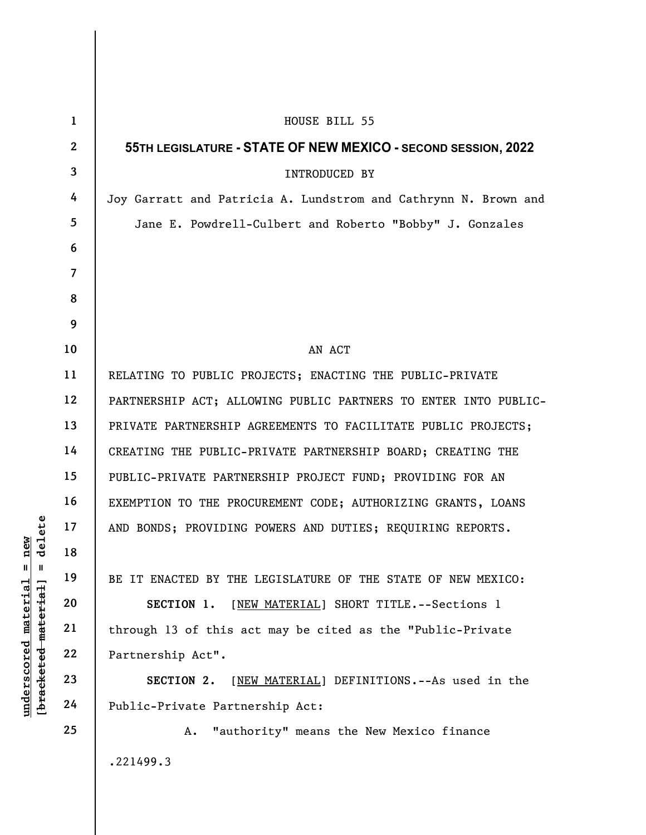|                                     | $\mathbf{1}$   | HOUSE BILL 55                                                   |
|-------------------------------------|----------------|-----------------------------------------------------------------|
|                                     | $2^{\circ}$    | 55TH LEGISLATURE - STATE OF NEW MEXICO - SECOND SESSION, 2022   |
|                                     | $\overline{3}$ | INTRODUCED BY                                                   |
|                                     | 4              | Joy Garratt and Patricia A. Lundstrom and Cathrynn N. Brown and |
|                                     | 5 <sup>5</sup> | Jane E. Powdrell-Culbert and Roberto "Bobby" J. Gonzales        |
|                                     | 6              |                                                                 |
|                                     | $\overline{7}$ |                                                                 |
|                                     | 8              |                                                                 |
|                                     | 9              |                                                                 |
|                                     | 10             | AN ACT                                                          |
|                                     | 11             | RELATING TO PUBLIC PROJECTS; ENACTING THE PUBLIC-PRIVATE        |
|                                     | 12             | PARTNERSHIP ACT; ALLOWING PUBLIC PARTNERS TO ENTER INTO PUBLIC- |
|                                     | 13             | PRIVATE PARTNERSHIP AGREEMENTS TO FACILITATE PUBLIC PROJECTS;   |
|                                     | 14             | CREATING THE PUBLIC-PRIVATE PARTNERSHIP BOARD; CREATING THE     |
|                                     | 15             | PUBLIC-PRIVATE PARTNERSHIP PROJECT FUND; PROVIDING FOR AN       |
|                                     | 16             | EXEMPTION TO THE PROCUREMENT CODE; AUTHORIZING GRANTS, LOANS    |
| delete                              | 17             | AND BONDS; PROVIDING POWERS AND DUTIES; REQUIRING REPORTS.      |
| new<br>$\mathbf{u}$<br>$\mathbf{I}$ | 18             |                                                                 |
|                                     | 19             | BE IT ENACTED BY THE LEGISLATURE OF THE STATE OF NEW MEXICO:    |
| <u>material</u>                     | 20             | SECTION 1.<br>[NEW MATERIAL] SHORT TITLE. -- Sections 1         |
| [ <del>bracketed material</del> ]   | 21             | through 13 of this act may be cited as the "Public-Private      |
| underscored                         | 22             | Partnership Act".                                               |
|                                     | 23             | [NEW MATERIAL] DEFINITIONS. -- As used in the<br>SECTION 2.     |
|                                     | 24             | Public-Private Partnership Act:                                 |
|                                     | 25             | "authority" means the New Mexico finance<br>Α.                  |
|                                     |                | .221499.3                                                       |
|                                     |                |                                                                 |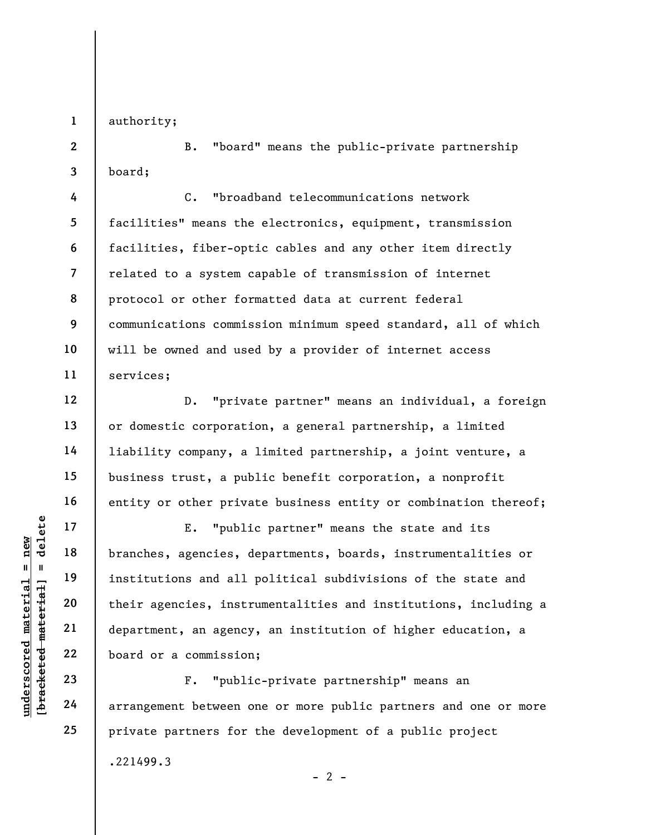1 authority;

2

3

4

5

6

7

8

9

10

11

12

13

14

15

16

17

18

19

20

21

22

23

24

25

B. "board" means the public-private partnership board;

C. "broadband telecommunications network facilities" means the electronics, equipment, transmission facilities, fiber-optic cables and any other item directly related to a system capable of transmission of internet protocol or other formatted data at current federal communications commission minimum speed standard, all of which will be owned and used by a provider of internet access services;

D. "private partner" means an individual, a foreign or domestic corporation, a general partnership, a limited liability company, a limited partnership, a joint venture, a business trust, a public benefit corporation, a nonprofit entity or other private business entity or combination thereof;

underschieden material en institutions and all<br>
en institutions and all<br>
department, an agency<br>
weblog and or a commission<br>
department, an agency<br>
23<br>
24<br>
arrangement between c E. "public partner" means the state and its branches, agencies, departments, boards, instrumentalities or institutions and all political subdivisions of the state and their agencies, instrumentalities and institutions, including a department, an agency, an institution of higher education, a board or a commission;

F. "public-private partnership" means an arrangement between one or more public partners and one or more private partners for the development of a public project

 $- 2 -$ 

.221499.3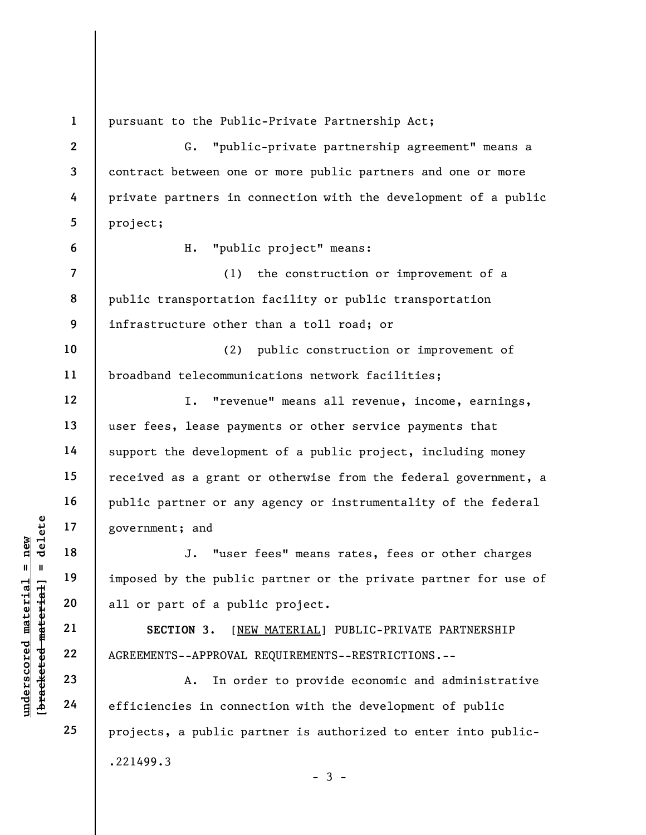UNDERETED MATHEM MATHEM DURING THE 19<br>
UNDER NOTE 19<br>
UNDER 19<br>
UNDER 19<br>
UNDER 19<br>
UNDER 19<br>
21<br>
22<br>
AGREEMENTS--APPROVAL<br>
23<br>
24<br>
Control of the public<br>
CON 3. [NET<br>
AGREEMENTS--APPROVAL<br>
A. In ord<br>
CON 24<br>
Contributes i 1 2 3 4 5 6 7 8 9 10 11 12 13 14 15 16 17 18 19 20 21 22 23 24 25 pursuant to the Public-Private Partnership Act; G. "public-private partnership agreement" means a contract between one or more public partners and one or more private partners in connection with the development of a public project; H. "public project" means: (1) the construction or improvement of a public transportation facility or public transportation infrastructure other than a toll road; or (2) public construction or improvement of broadband telecommunications network facilities; I. "revenue" means all revenue, income, earnings, user fees, lease payments or other service payments that support the development of a public project, including money received as a grant or otherwise from the federal government, a public partner or any agency or instrumentality of the federal government; and J. "user fees" means rates, fees or other charges imposed by the public partner or the private partner for use of all or part of a public project. SECTION 3. [NEW MATERIAL] PUBLIC-PRIVATE PARTNERSHIP AGREEMENTS--APPROVAL REQUIREMENTS--RESTRICTIONS.-- A. In order to provide economic and administrative efficiencies in connection with the development of public projects, a public partner is authorized to enter into public-

 $-3 -$ 

.221499.3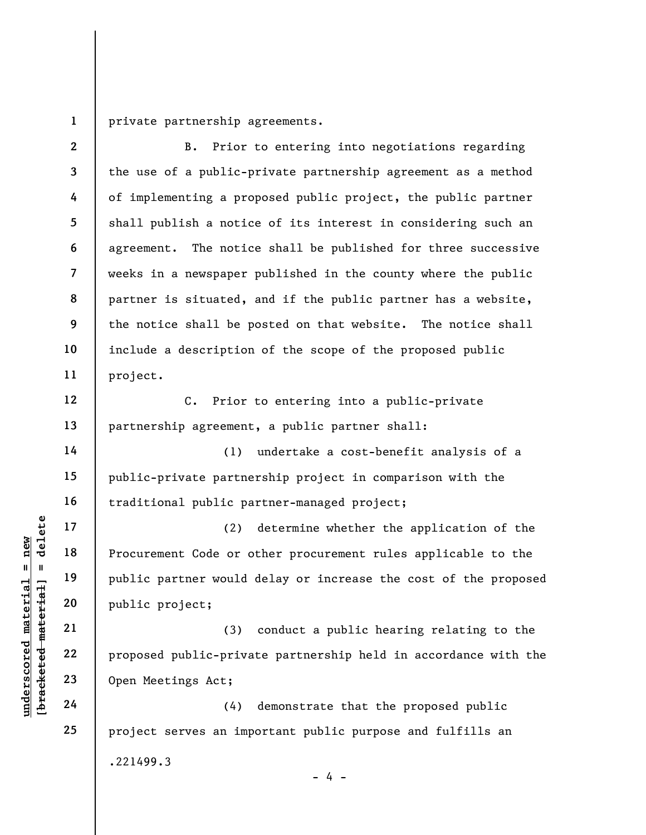1 private partnership agreements.

underscored material engines are the set of the set of the set of the set of the set of the set of the set of the set of the set of the set of the set of the set of the set of the set of the set of the set of the set of th 2 3 4 5 6 7 8 9 10 11 12 13 14 15 16 17 18 19 20 21 22 23 24 25 B. Prior to entering into negotiations regarding the use of a public-private partnership agreement as a method of implementing a proposed public project, the public partner shall publish a notice of its interest in considering such an agreement. The notice shall be published for three successive weeks in a newspaper published in the county where the public partner is situated, and if the public partner has a website, the notice shall be posted on that website. The notice shall include a description of the scope of the proposed public project. C. Prior to entering into a public-private partnership agreement, a public partner shall: (1) undertake a cost-benefit analysis of a public-private partnership project in comparison with the traditional public partner-managed project; (2) determine whether the application of the Procurement Code or other procurement rules applicable to the public partner would delay or increase the cost of the proposed public project; (3) conduct a public hearing relating to the proposed public-private partnership held in accordance with the Open Meetings Act; (4) demonstrate that the proposed public project serves an important public purpose and fulfills an .221499.3  $- 4 -$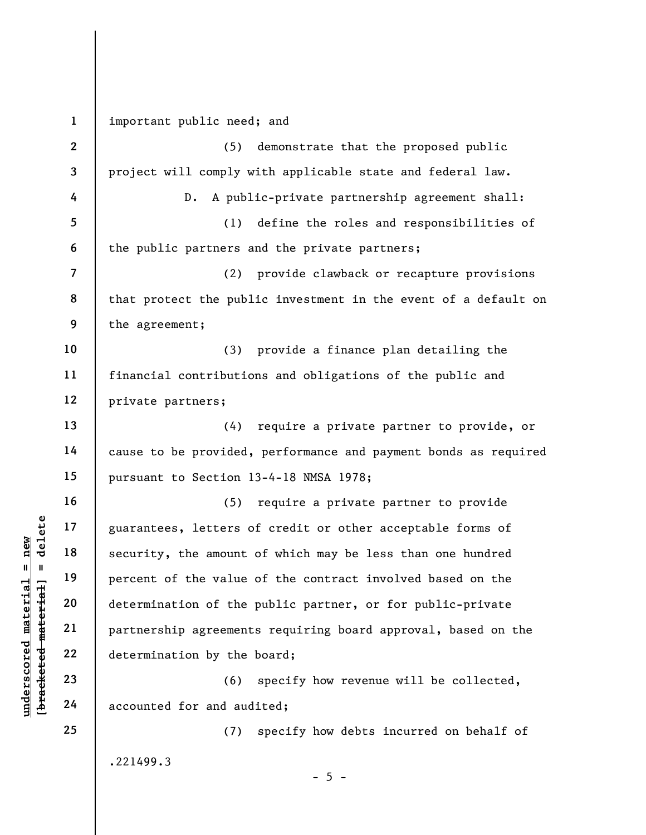underscored material = new [bracketed material] = delete 1 2 3 4 5 6 7 8 9 10 11 12 13 14 15 16 17 18 19 20 21 22 23 24 25 important public need; and (5) demonstrate that the proposed public project will comply with applicable state and federal law. D. A public-private partnership agreement shall: (1) define the roles and responsibilities of the public partners and the private partners; (2) provide clawback or recapture provisions that protect the public investment in the event of a default on the agreement; (3) provide a finance plan detailing the financial contributions and obligations of the public and private partners; (4) require a private partner to provide, or cause to be provided, performance and payment bonds as required pursuant to Section 13-4-18 NMSA 1978; (5) require a private partner to provide guarantees, letters of credit or other acceptable forms of security, the amount of which may be less than one hundred percent of the value of the contract involved based on the determination of the public partner, or for public-private partnership agreements requiring board approval, based on the determination by the board; (6) specify how revenue will be collected, accounted for and audited; (7) specify how debts incurred on behalf of .221499.3  $- 5 -$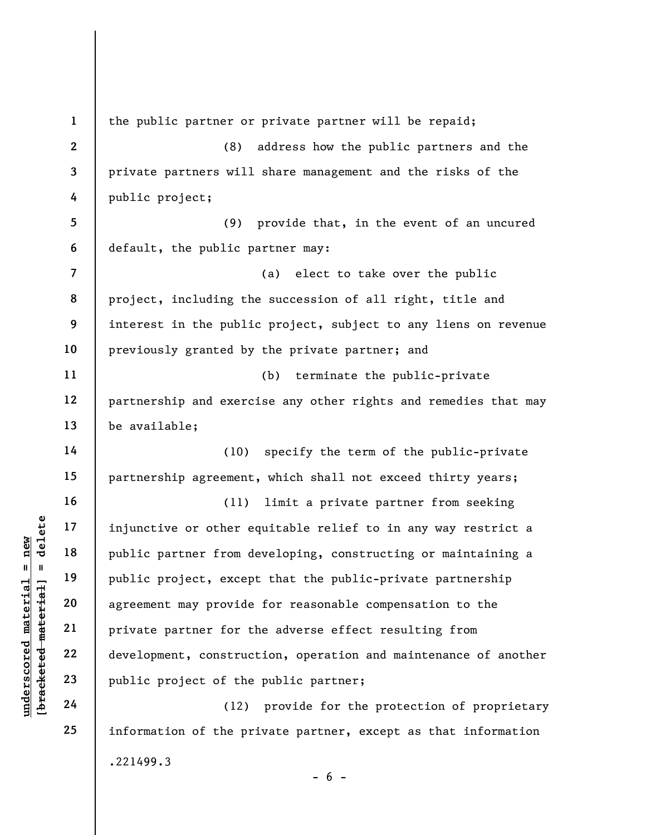underscored material end and the public partner from d<br>
understand material public project, exception are all public project, exception are all public project, exception are arrived agreement may provide<br>
understand and th 1 2 3 4 5 6 7 8 9 10 11 12 13 14 15 16 17 18 19 20 21 22 23 24 25 the public partner or private partner will be repaid; (8) address how the public partners and the private partners will share management and the risks of the public project; (9) provide that, in the event of an uncured default, the public partner may: (a) elect to take over the public project, including the succession of all right, title and interest in the public project, subject to any liens on revenue previously granted by the private partner; and (b) terminate the public-private partnership and exercise any other rights and remedies that may be available; (10) specify the term of the public-private partnership agreement, which shall not exceed thirty years; (11) limit a private partner from seeking injunctive or other equitable relief to in any way restrict a public partner from developing, constructing or maintaining a public project, except that the public-private partnership agreement may provide for reasonable compensation to the private partner for the adverse effect resulting from development, construction, operation and maintenance of another public project of the public partner; (12) provide for the protection of proprietary information of the private partner, except as that information .221499.3

 $- 6 -$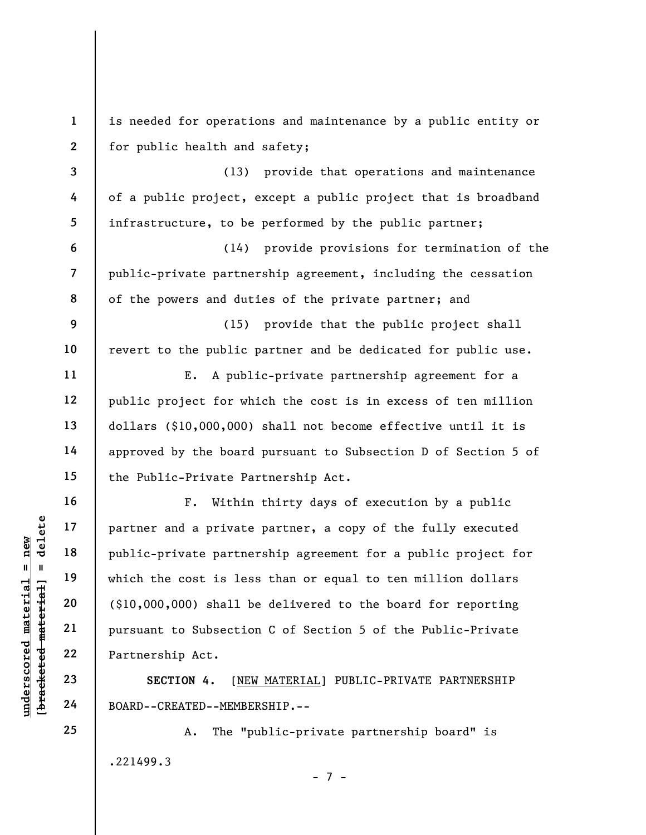underscored material = new [bracketed material] = delete 1 2 3 4 5 6 7 8 9 10 11 12 13 14 15 16 17 18 19 20 21 22 23 24 is needed for operations and maintenance by a public entity or for public health and safety; (13) provide that operations and maintenance of a public project, except a public project that is broadband infrastructure, to be performed by the public partner; (14) provide provisions for termination of the public-private partnership agreement, including the cessation of the powers and duties of the private partner; and (15) provide that the public project shall revert to the public partner and be dedicated for public use. E. A public-private partnership agreement for a public project for which the cost is in excess of ten million dollars (\$10,000,000) shall not become effective until it is approved by the board pursuant to Subsection D of Section 5 of the Public-Private Partnership Act. F. Within thirty days of execution by a public partner and a private partner, a copy of the fully executed public-private partnership agreement for a public project for which the cost is less than or equal to ten million dollars (\$10,000,000) shall be delivered to the board for reporting pursuant to Subsection C of Section 5 of the Public-Private Partnership Act. SECTION 4. [NEW MATERIAL] PUBLIC-PRIVATE PARTNERSHIP BOARD--CREATED--MEMBERSHIP.--

> A. The "public-private partnership board" is .221499.3

25

- 7 -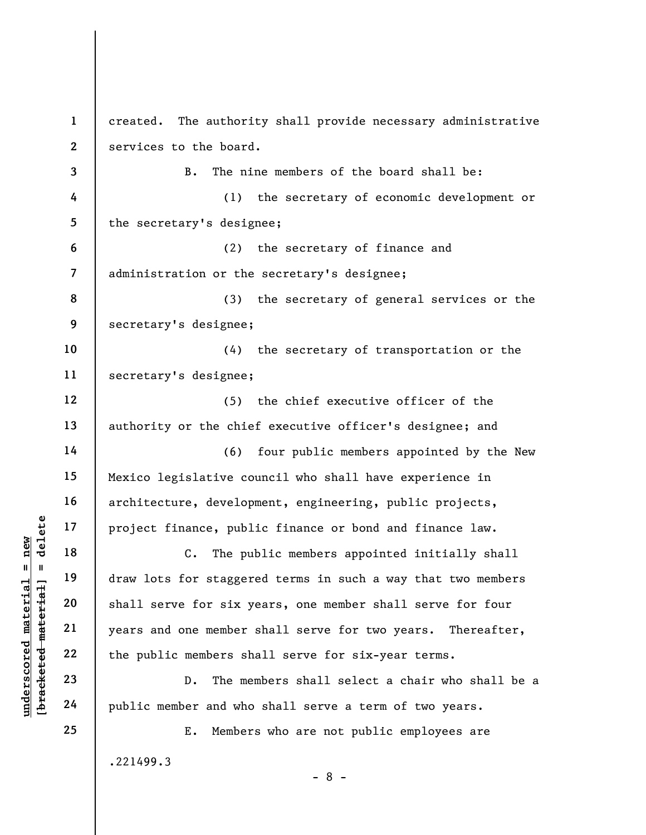underscored material material of the public material experience of the public material control of the public material control of the public members shows and one member and who control the public member and who control of 1 2 3 4 5 6 7 8 9 10 11 12 13 14 15 16 17 18 19 20 21 22 23 24 25 created. The authority shall provide necessary administrative services to the board. B. The nine members of the board shall be: (1) the secretary of economic development or the secretary's designee; (2) the secretary of finance and administration or the secretary's designee; (3) the secretary of general services or the secretary's designee; (4) the secretary of transportation or the secretary's designee; (5) the chief executive officer of the authority or the chief executive officer's designee; and (6) four public members appointed by the New Mexico legislative council who shall have experience in architecture, development, engineering, public projects, project finance, public finance or bond and finance law. C. The public members appointed initially shall draw lots for staggered terms in such a way that two members shall serve for six years, one member shall serve for four years and one member shall serve for two years. Thereafter, the public members shall serve for six-year terms. D. The members shall select a chair who shall be a public member and who shall serve a term of two years. E. Members who are not public employees are .221499.3 - 8 -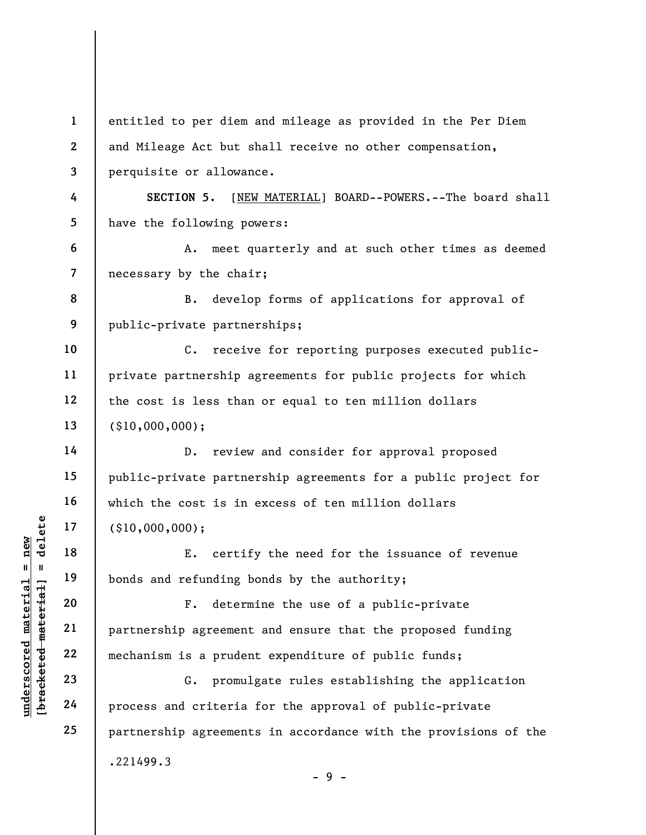underscored material material process and criterial process and criterial process and criterial process and criterial process and criterial process and criterial example  $\begin{array}{c|ccc}\n & 17 & & (10,000,000);\n & E. & \text{certiff} & \text{E.} & \text{cert$ 1 2 3 4 5 6 7 8 9 10 11 12 13 14 15 16 17 18 19 20 21 22 23 24 25 entitled to per diem and mileage as provided in the Per Diem and Mileage Act but shall receive no other compensation, perquisite or allowance. SECTION 5. [NEW MATERIAL] BOARD--POWERS.--The board shall have the following powers: A. meet quarterly and at such other times as deemed necessary by the chair; B. develop forms of applications for approval of public-private partnerships; C. receive for reporting purposes executed publicprivate partnership agreements for public projects for which the cost is less than or equal to ten million dollars (\$10,000,000); D. review and consider for approval proposed public-private partnership agreements for a public project for which the cost is in excess of ten million dollars (\$10,000,000); E. certify the need for the issuance of revenue bonds and refunding bonds by the authority; F. determine the use of a public-private partnership agreement and ensure that the proposed funding mechanism is a prudent expenditure of public funds; G. promulgate rules establishing the application process and criteria for the approval of public-private partnership agreements in accordance with the provisions of the .221499.3

 $-9 -$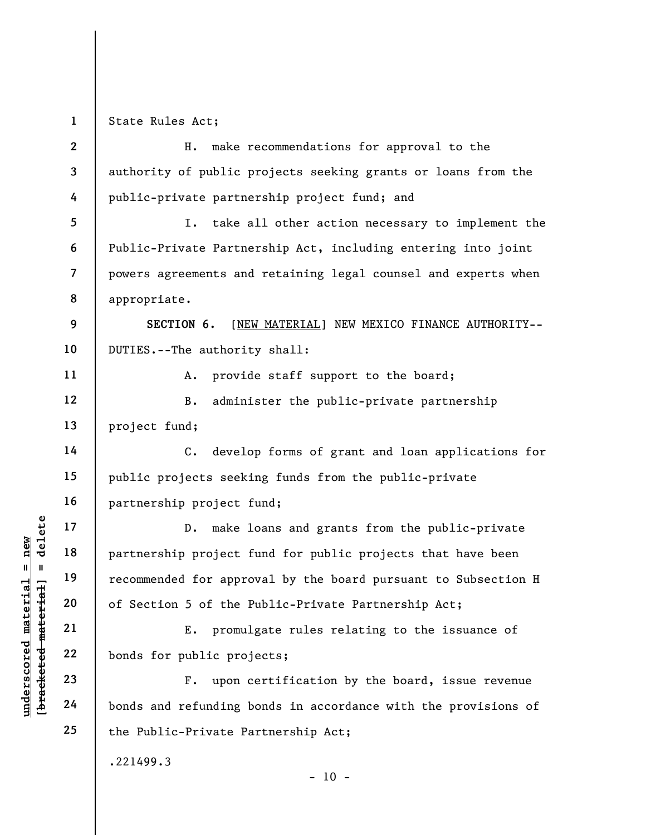1 State Rules Act;

| $\overline{2}$          | make recommendations for approval to the<br>H.                   |
|-------------------------|------------------------------------------------------------------|
| 3                       | authority of public projects seeking grants or loans from the    |
| 4                       | public-private partnership project fund; and                     |
| 5                       | I. take all other action necessary to implement the              |
| 6                       | Public-Private Partnership Act, including entering into joint    |
| $\overline{\mathbf{7}}$ | powers agreements and retaining legal counsel and experts when   |
| 8                       | appropriate.                                                     |
| 9                       | SECTION 6.<br>[NEW MATERIAL] NEW MEXICO FINANCE AUTHORITY--      |
| 10                      | DUTIES.--The authority shall:                                    |
| 11                      | provide staff support to the board;<br>A.                        |
| 12                      | administer the public-private partnership<br>$B$ .               |
| 13                      | project fund;                                                    |
| 14                      | C. develop forms of grant and loan applications for              |
| 15                      | public projects seeking funds from the public-private            |
| 16                      | partnership project fund;                                        |
| 17                      | make loans and grants from the public-private<br>$D_{\bullet}$   |
| 18                      | partnership project fund for public projects that have been      |
| 19                      | recommended for approval by the board pursuant to Subsection H   |
| 20                      | of Section 5 of the Public-Private Partnership Act;              |
| 21                      | promulgate rules relating to the issuance of<br>E.               |
| 22                      | bonds for public projects;                                       |
| 23                      | upon certification by the board, issue revenue<br>$\mathbf{F}$ . |
| 24                      | bonds and refunding bonds in accordance with the provisions of   |
| 25                      | the Public-Private Partnership Act;                              |
|                         | .221499.3<br>$-10 -$                                             |

 $\frac{\text{underscored material = new}}{\text{beac detected-matter}+\text{d}}$  = delete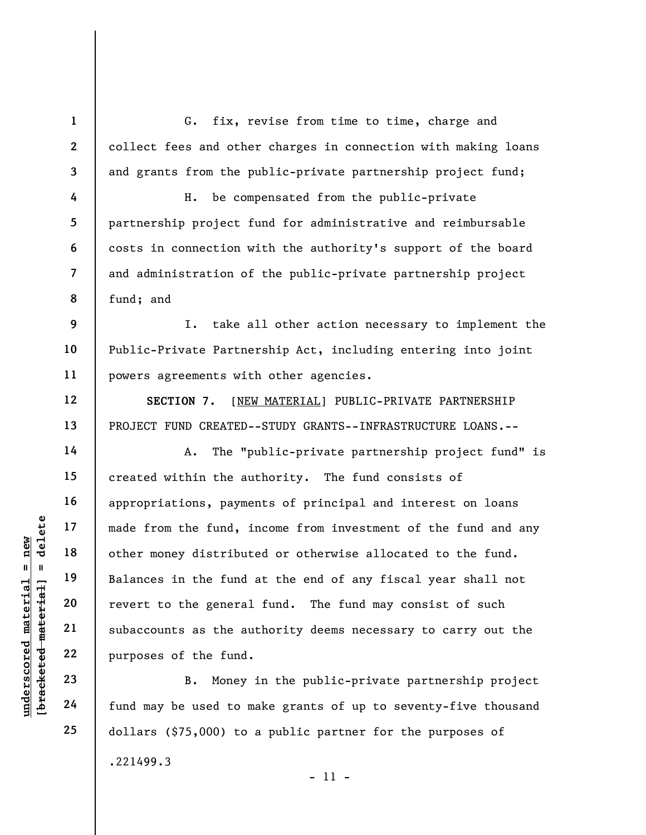G. fix, revise from time to time, charge and collect fees and other charges in connection with making loans and grants from the public-private partnership project fund;

H. be compensated from the public-private partnership project fund for administrative and reimbursable costs in connection with the authority's support of the board and administration of the public-private partnership project fund; and

9 10 11 I. take all other action necessary to implement the Public-Private Partnership Act, including entering into joint powers agreements with other agencies.

SECTION 7. [NEW MATERIAL] PUBLIC-PRIVATE PARTNERSHIP PROJECT FUND CREATED--STUDY GRANTS--INFRASTRUCTURE LOANS.--

understand material material efform the fund, if<br>  $\begin{array}{c|c|c|c} \hline \text{u} & \text{u} & \text{u} \\ \hline \text{u} & \text{u} & \text{u} \\ \hline \text{u} & \text{u} & \text{u} \\ \hline \text{u} & \text{u} & \text{u} \\ \hline \text{u} & \text{u} & \text{u} \\ \hline \text{u} & \text{u} & \text{u} \\ \hline \text{u} & \text{u} & \text{u} \\ \hline \text{u} & \text$ A. The "public-private partnership project fund" is created within the authority. The fund consists of appropriations, payments of principal and interest on loans made from the fund, income from investment of the fund and any other money distributed or otherwise allocated to the fund. Balances in the fund at the end of any fiscal year shall not revert to the general fund. The fund may consist of such subaccounts as the authority deems necessary to carry out the purposes of the fund.

B. Money in the public-private partnership project fund may be used to make grants of up to seventy-five thousand dollars (\$75,000) to a public partner for the purposes of .221499.3

1

2

3

4

5

6

7

8

12

13

14

15

16

17

18

19

20

21

22

23

24

25

- 11 -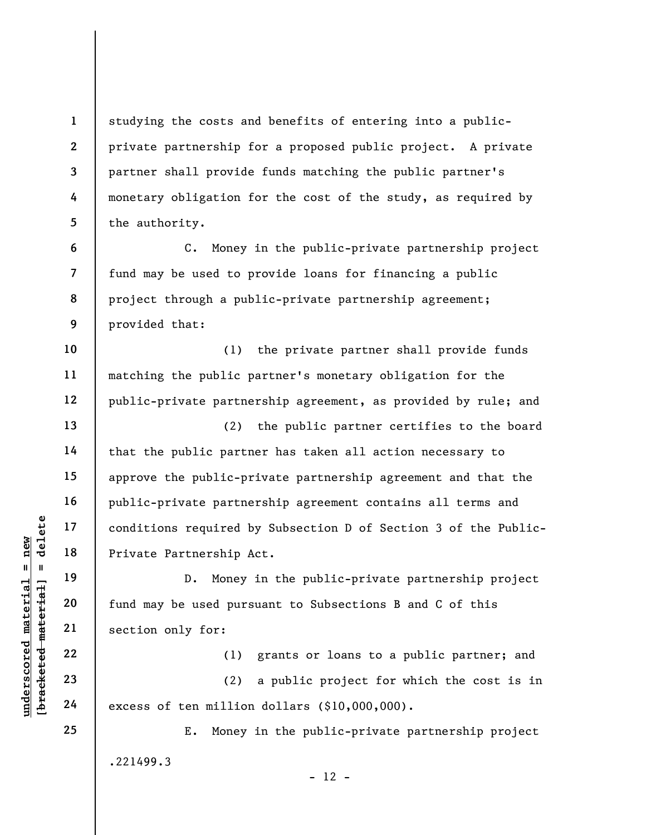studying the costs and benefits of entering into a publicprivate partnership for a proposed public project. A private partner shall provide funds matching the public partner's monetary obligation for the cost of the study, as required by the authority.

C. Money in the public-private partnership project fund may be used to provide loans for financing a public project through a public-private partnership agreement; provided that:

(1) the private partner shall provide funds matching the public partner's monetary obligation for the public-private partnership agreement, as provided by rule; and

(2) the public partner certifies to the board that the public partner has taken all action necessary to approve the public-private partnership agreement and that the public-private partnership agreement contains all terms and conditions required by Subsection D of Section 3 of the Public-Private Partnership Act.

underscored material end in the section of the section of the section of the section of the section of the section of the section of the section of the section of the section of the section of the section of the section of D. Money in the public-private partnership project fund may be used pursuant to Subsections B and C of this section only for:

(1) grants or loans to a public partner; and

(2) a public project for which the cost is in excess of ten million dollars (\$10,000,000).

E. Money in the public-private partnership project .221499.3  $- 12 -$ 

24 25

1

2

3

4

5

6

7

8

9

10

11

12

13

14

15

16

17

18

19

20

21

22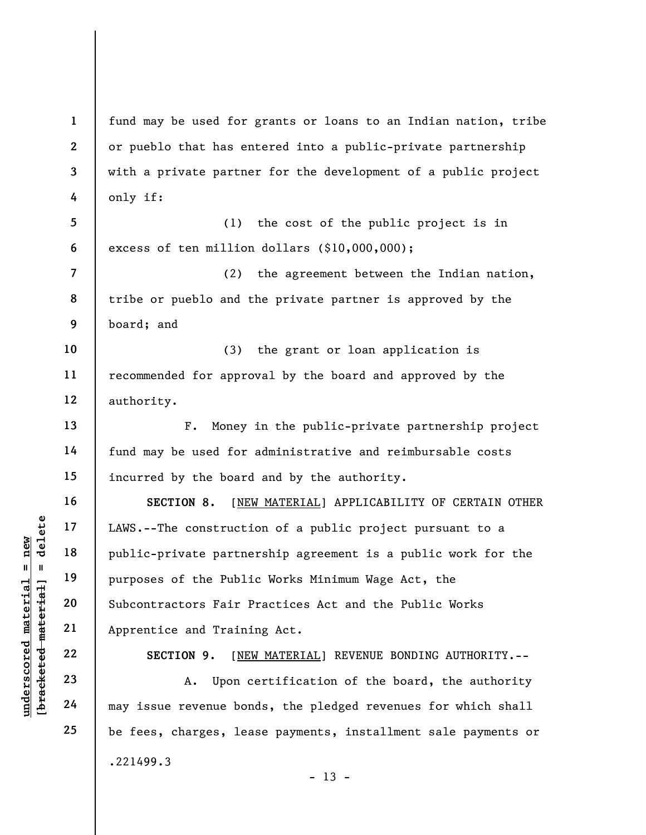UNERET 17<br>
UNERET 18<br>
UNERET 19<br>
UNERET 19<br>
UNERET 19<br>
UNERET 19<br>
UNERET 19<br>
UNERET 19<br>
UNERET 19<br>
UNERET 19<br>
UNERET 19<br>
UNERET 19<br>
UNERET 19<br>
UNERET 19<br>
UNERET 19<br>
UNERET 19<br>
UNERET 19<br>
UNERET 19<br>
UNERET 19<br>
UNERET 19<br>
UN 2 3 4 5 6 7 8 9 10 11 12 13 14 15 16 17 18 19 20 21 22 23 24 25 or pueblo that has entered into a public-private partnership with a private partner for the development of a public project only if: (1) the cost of the public project is in excess of ten million dollars (\$10,000,000); (2) the agreement between the Indian nation, tribe or pueblo and the private partner is approved by the board; and (3) the grant or loan application is recommended for approval by the board and approved by the authority. F. Money in the public-private partnership project fund may be used for administrative and reimbursable costs incurred by the board and by the authority. SECTION 8. [NEW MATERIAL] APPLICABILITY OF CERTAIN OTHER LAWS.--The construction of a public project pursuant to a public-private partnership agreement is a public work for the purposes of the Public Works Minimum Wage Act, the Subcontractors Fair Practices Act and the Public Works Apprentice and Training Act. SECTION 9. [NEW MATERIAL] REVENUE BONDING AUTHORITY.--A. Upon certification of the board, the authority may issue revenue bonds, the pledged revenues for which shall be fees, charges, lease payments, installment sale payments or .221499.3  $- 13 -$ 

fund may be used for grants or loans to an Indian nation, tribe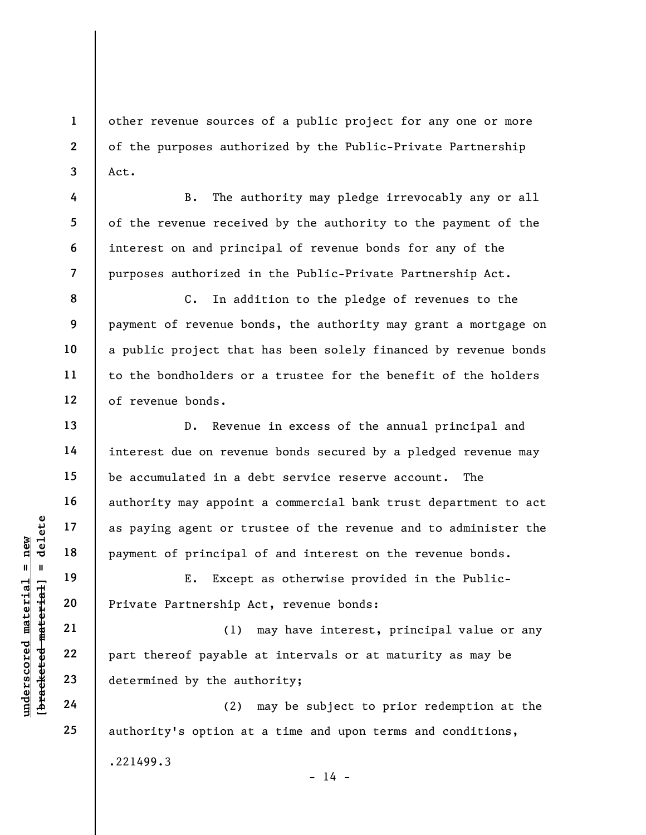other revenue sources of a public project for any one or more of the purposes authorized by the Public-Private Partnership Act.

B. The authority may pledge irrevocably any or all of the revenue received by the authority to the payment of the interest on and principal of revenue bonds for any of the purposes authorized in the Public-Private Partnership Act.

C. In addition to the pledge of revenues to the payment of revenue bonds, the authority may grant a mortgage on a public project that has been solely financed by revenue bonds to the bondholders or a trustee for the benefit of the holders of revenue bonds.

D. Revenue in excess of the annual principal and interest due on revenue bonds secured by a pledged revenue may be accumulated in a debt service reserve account. The authority may appoint a commercial bank trust department to act as paying agent or trustee of the revenue and to administer the payment of principal of and interest on the revenue bonds.

E. Except as otherwise provided in the Public-Private Partnership Act, revenue bonds:

underscored material and the set of the set of the set of principal<br>
except and the set of principal<br>
except 20<br>
except 21<br>
22<br>
23<br>
except 22<br>
23<br>
determined by the aut<br>
24<br>
(2) (1) may have interest, principal value or any part thereof payable at intervals or at maturity as may be determined by the authority;

(2) may be subject to prior redemption at the authority's option at a time and upon terms and conditions,

.221499.3

 $- 14 -$ 

1

2

3

4

5

6

7

8

9

10

11

12

13

14

15

16

17

18

19

20

21

22

23

24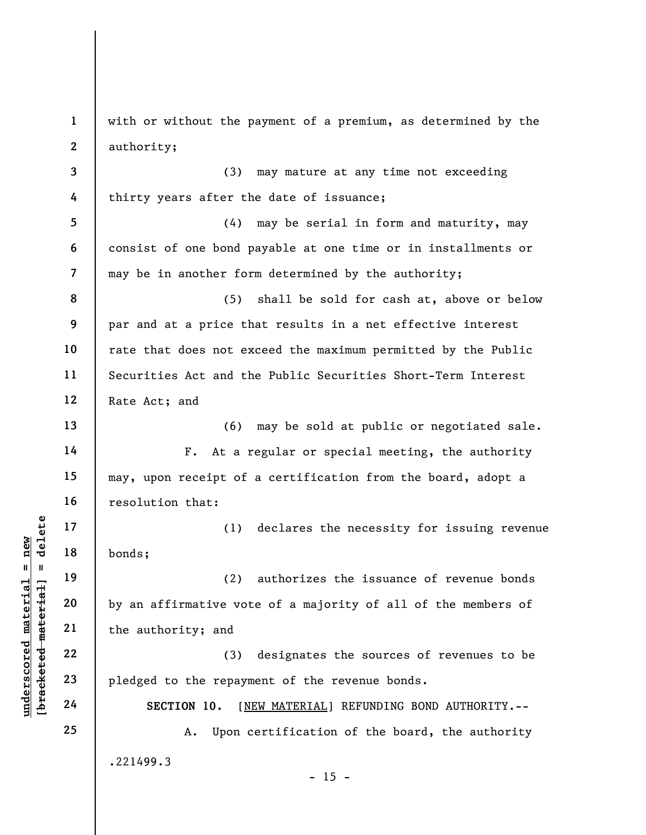underscored material material of the authority; and<br>
we were the authority; and<br>
we were the authority; and<br>
22<br>
underscore material of the authority; and<br>
23<br>
24<br>
24<br>
25<br>
26<br>
26<br>
26<br>
26<br>
26<br>
27<br>
27<br>
27<br>
28<br>
27<br>
28<br>
27<br>
28 1 2 3 4 5 6 7 8 9 10 11 12 13 14 15 16 17 18 19 20 21 22 23 24 25 with or without the payment of a premium, as determined by the authority; (3) may mature at any time not exceeding thirty years after the date of issuance; (4) may be serial in form and maturity, may consist of one bond payable at one time or in installments or may be in another form determined by the authority; (5) shall be sold for cash at, above or below par and at a price that results in a net effective interest rate that does not exceed the maximum permitted by the Public Securities Act and the Public Securities Short-Term Interest Rate Act; and (6) may be sold at public or negotiated sale. F. At a regular or special meeting, the authority may, upon receipt of a certification from the board, adopt a resolution that: (1) declares the necessity for issuing revenue bonds; (2) authorizes the issuance of revenue bonds by an affirmative vote of a majority of all of the members of the authority; and (3) designates the sources of revenues to be pledged to the repayment of the revenue bonds. SECTION 10. [NEW MATERIAL] REFUNDING BOND AUTHORITY.-- A. Upon certification of the board, the authority .221499.3  $- 15 -$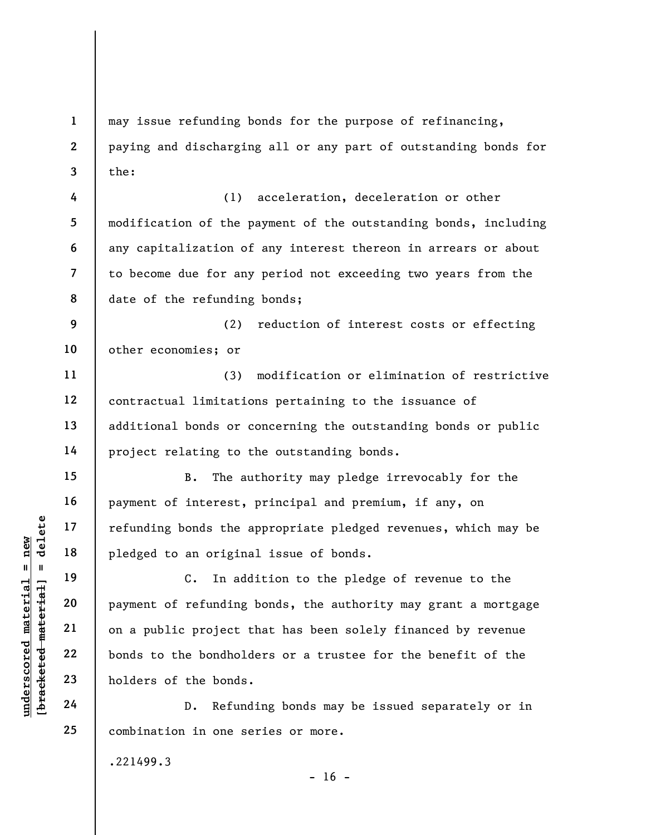may issue refunding bonds for the purpose of refinancing, paying and discharging all or any part of outstanding bonds for the:

8 (1) acceleration, deceleration or other modification of the payment of the outstanding bonds, including any capitalization of any interest thereon in arrears or about to become due for any period not exceeding two years from the date of the refunding bonds;

9 10 (2) reduction of interest costs or effecting other economies; or

(3) modification or elimination of restrictive contractual limitations pertaining to the issuance of additional bonds or concerning the outstanding bonds or public project relating to the outstanding bonds.

B. The authority may pledge irrevocably for the payment of interest, principal and premium, if any, on refunding bonds the appropriate pledged revenues, which may be pledged to an original issue of bonds.

underscores and the speeches of the bonds of the bonds of the bonds of the bonds of the bonds of the bonds of the bonds of the bonds of the bonds of the bonds of the bonds of the bonds of the bonds of the bonds of the bond C. In addition to the pledge of revenue to the payment of refunding bonds, the authority may grant a mortgage on a public project that has been solely financed by revenue bonds to the bondholders or a trustee for the benefit of the holders of the bonds.

D. Refunding bonds may be issued separately or in combination in one series or more.

.221499.3

 $- 16 -$ 

1

2

3

4

5

6

7

11

12

13

14

15

16

17

18

19

20

21

22

23

24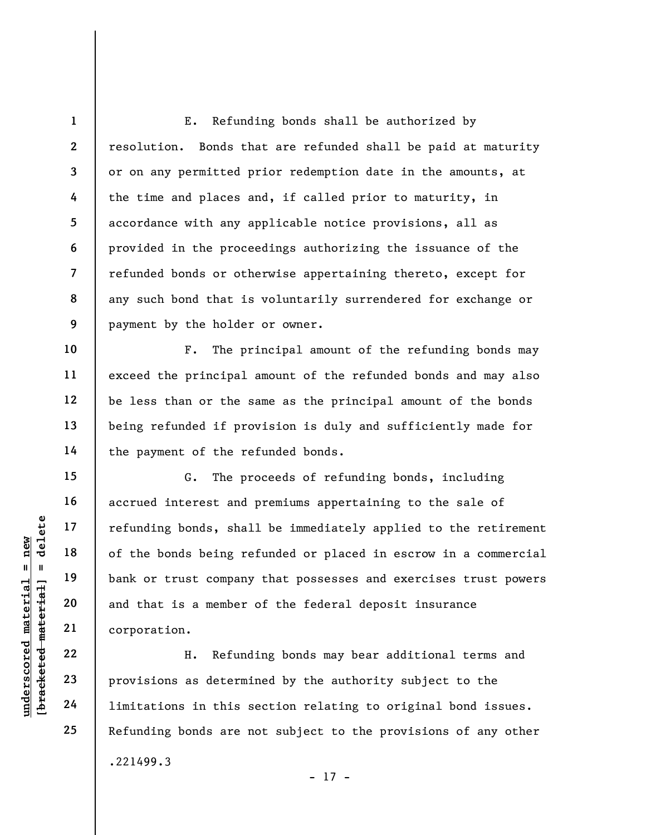8 E. Refunding bonds shall be authorized by resolution. Bonds that are refunded shall be paid at maturity or on any permitted prior redemption date in the amounts, at the time and places and, if called prior to maturity, in accordance with any applicable notice provisions, all as provided in the proceedings authorizing the issuance of the refunded bonds or otherwise appertaining thereto, except for any such bond that is voluntarily surrendered for exchange or payment by the holder or owner.

F. The principal amount of the refunding bonds may exceed the principal amount of the refunded bonds and may also be less than or the same as the principal amount of the bonds being refunded if provision is duly and sufficiently made for the payment of the refunded bonds.

understand material material end of the bonds being reduced material of the bonds being reduced material planet company<br>and that is a member<br>along and that is a member<br>corporation.<br>End 22<br>along 23<br>provisions as determined G. The proceeds of refunding bonds, including accrued interest and premiums appertaining to the sale of refunding bonds, shall be immediately applied to the retirement of the bonds being refunded or placed in escrow in a commercial bank or trust company that possesses and exercises trust powers and that is a member of the federal deposit insurance corporation.

H. Refunding bonds may bear additional terms and provisions as determined by the authority subject to the limitations in this section relating to original bond issues. Refunding bonds are not subject to the provisions of any other .221499.3 - 17 -

1

2

3

4

5

6

7

9

10

11

12

13

14

15

16

17

18

19

20

21

22

23

24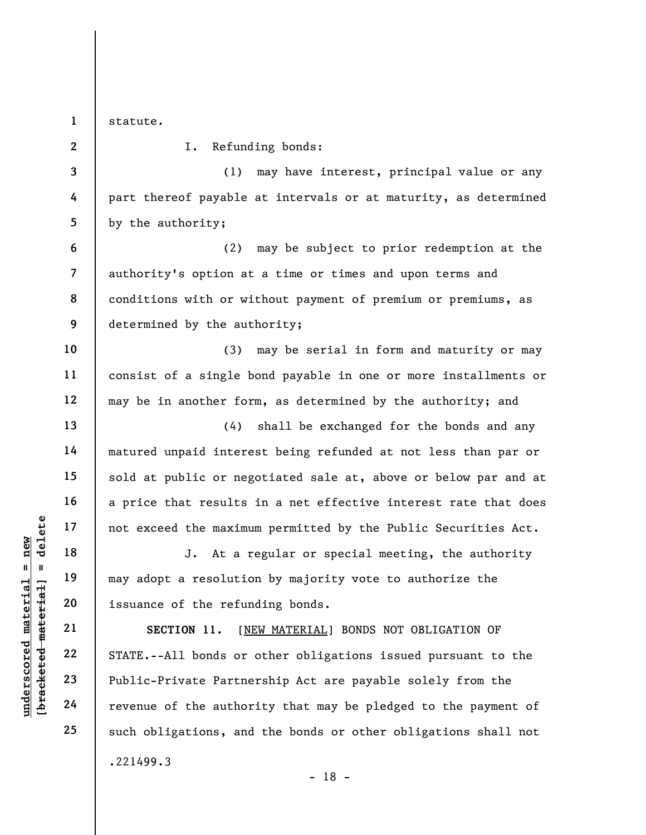1

2

3

4

5

6

7

8

9

10

11

12

13

14

15

16

17

18

19

20

21

22

23

24

25

statute.

I. Refunding bonds:

(1) may have interest, principal value or any part thereof payable at intervals or at maturity, as determined by the authority;

(2) may be subject to prior redemption at the authority's option at a time or times and upon terms and conditions with or without payment of premium or premiums, as determined by the authority;

(3) may be serial in form and maturity or may consist of a single bond payable in one or more installments or may be in another form, as determined by the authority; and

(4) shall be exchanged for the bonds and any matured unpaid interest being refunded at not less than par or sold at public or negotiated sale at, above or below par and at a price that results in a net effective interest rate that does not exceed the maximum permitted by the Public Securities Act.

J. At a regular or special meeting, the authority may adopt a resolution by majority vote to authorize the issuance of the refunding bonds.

underscored the maximu<br>  $\begin{array}{c|c|c|c} \n 1 & \text{red} & \text{red} & \text{red} \text{green} \\ \n 1 & \text{red} & \text{red} & \text{red} & \text{red} \text{green} \\ \n 2 & \text{red} & \text{red} & \text{red} & \text{red} \text{green} \\ \n 3 & \text{red} & \text{red} & \text{red} & \text{green} \\ \n 4 & \text{red} & \text{red} & \text{green} & \text{green} \\ \n 5 & \text{red} & \text{red} & \text{green} & \text{blue} \end$ SECTION 11. [NEW MATERIAL] BONDS NOT OBLIGATION OF STATE.--All bonds or other obligations issued pursuant to the Public-Private Partnership Act are payable solely from the revenue of the authority that may be pledged to the payment of such obligations, and the bonds or other obligations shall not .221499.3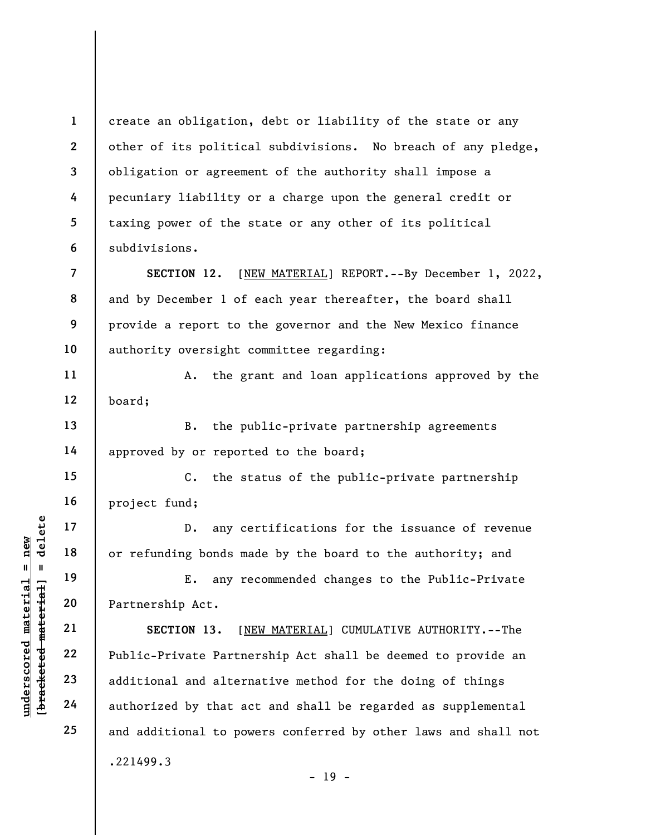2 create an obligation, debt or liability of the state or any other of its political subdivisions. No breach of any pledge, obligation or agreement of the authority shall impose a pecuniary liability or a charge upon the general credit or taxing power of the state or any other of its political subdivisions.

SECTION 12. [NEW MATERIAL] REPORT.--By December 1, 2022, and by December 1 of each year thereafter, the board shall provide a report to the governor and the New Mexico finance authority oversight committee regarding:

12 A. the grant and loan applications approved by the board;

B. the public-private partnership agreements approved by or reported to the board;

C. the status of the public-private partnership project fund;

D. any certifications for the issuance of revenue or refunding bonds made by the board to the authority; and

E. any recommended changes to the Public-Private Partnership Act.

underscored material = new [bracketed material] = delete SECTION 13. [NEW MATERIAL] CUMULATIVE AUTHORITY.--The Public-Private Partnership Act shall be deemed to provide an additional and alternative method for the doing of things authorized by that act and shall be regarded as supplemental and additional to powers conferred by other laws and shall not .221499.3

1

3

4

5

6

7

8

9

10

11

13

14

15

16

17

18

19

20

21

22

23

24

25

 $- 19 -$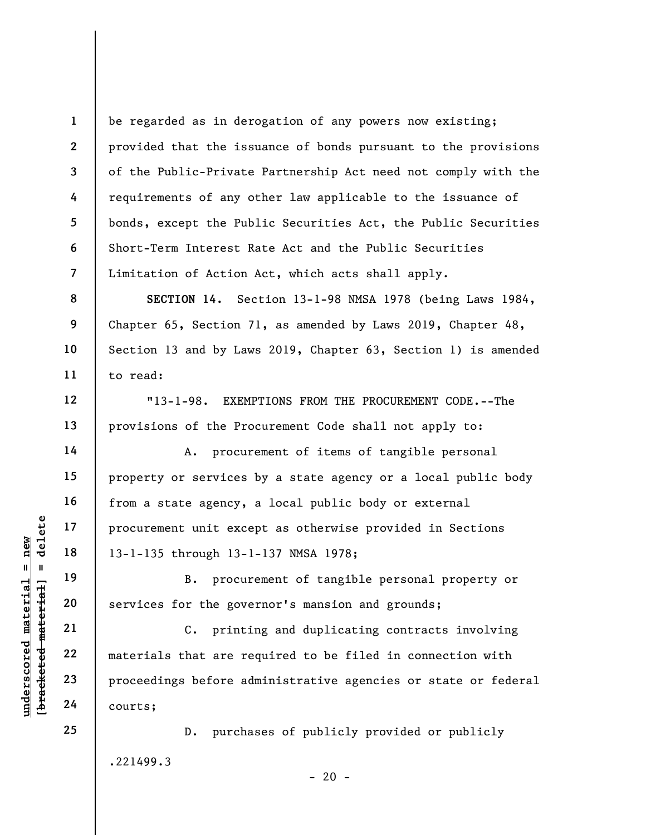1 2 3 4 5 6 7 be regarded as in derogation of any powers now existing; provided that the issuance of bonds pursuant to the provisions of the Public-Private Partnership Act need not comply with the requirements of any other law applicable to the issuance of bonds, except the Public Securities Act, the Public Securities Short-Term Interest Rate Act and the Public Securities Limitation of Action Act, which acts shall apply.

SECTION 14. Section 13-1-98 NMSA 1978 (being Laws 1984, Chapter 65, Section 71, as amended by Laws 2019, Chapter 48, Section 13 and by Laws 2019, Chapter 63, Section 1) is amended to read:

"13-1-98. EXEMPTIONS FROM THE PROCUREMENT CODE.--The provisions of the Procurement Code shall not apply to:

A. procurement of items of tangible personal property or services by a state agency or a local public body from a state agency, a local public body or external procurement unit except as otherwise provided in Sections 13-1-135 through 13-1-137 NMSA 1978;

B. procurement of tangible personal property or services for the governor's mansion and grounds;

underscored materials that are response to the government<br>
weight a 19 and 13-1-135 through 13-1<br>
weight a 20 anterials for the government<br>
21 c. printi<br>
23 proceedings before ad<br>
24 courts; C. printing and duplicating contracts involving materials that are required to be filed in connection with proceedings before administrative agencies or state or federal courts;

> D. purchases of publicly provided or publicly .221499.3  $- 20 -$

24 25

8

9

10

11

12

13

14

15

16

17

18

19

20

21

22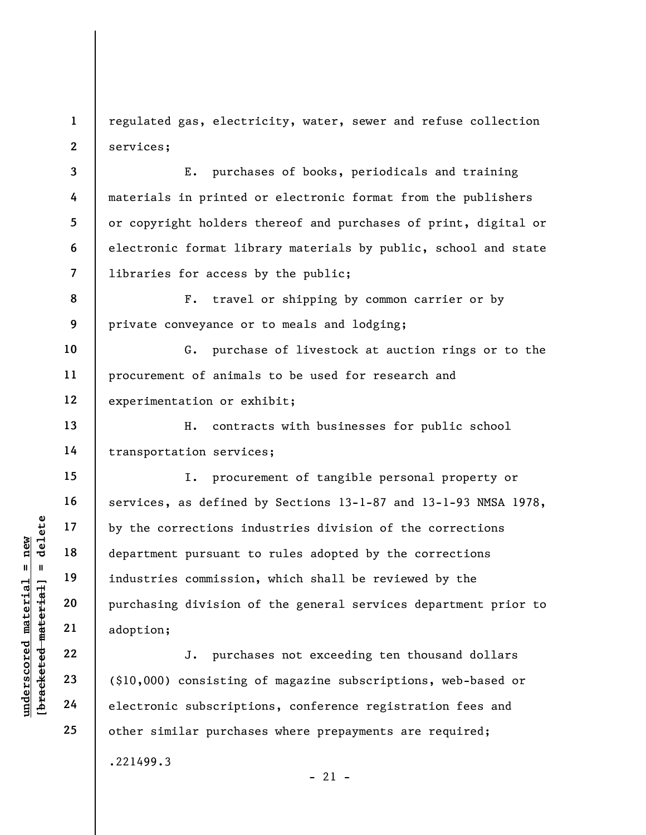1 2 regulated gas, electricity, water, sewer and refuse collection services;

3 7 E. purchases of books, periodicals and training materials in printed or electronic format from the publishers or copyright holders thereof and purchases of print, digital or electronic format library materials by public, school and state libraries for access by the public;

8 9 F. travel or shipping by common carrier or by private conveyance or to meals and lodging;

10 11 12 G. purchase of livestock at auction rings or to the procurement of animals to be used for research and experimentation or exhibit;

13 14 H. contracts with businesses for public school transportation services;

underschied material end and the corrections in<br>  $u = u$  and  $u = u$  and the separature of the separature of the separature of the purchasing division commission<br>
were the separature of the separature of the separature of the I. procurement of tangible personal property or services, as defined by Sections 13-1-87 and 13-1-93 NMSA 1978, by the corrections industries division of the corrections department pursuant to rules adopted by the corrections industries commission, which shall be reviewed by the purchasing division of the general services department prior to adoption;

J. purchases not exceeding ten thousand dollars (\$10,000) consisting of magazine subscriptions, web-based or electronic subscriptions, conference registration fees and other similar purchases where prepayments are required; .221499.3  $- 21 -$ 

4

5

6

15

16

17

18

19

20

21

22

23

24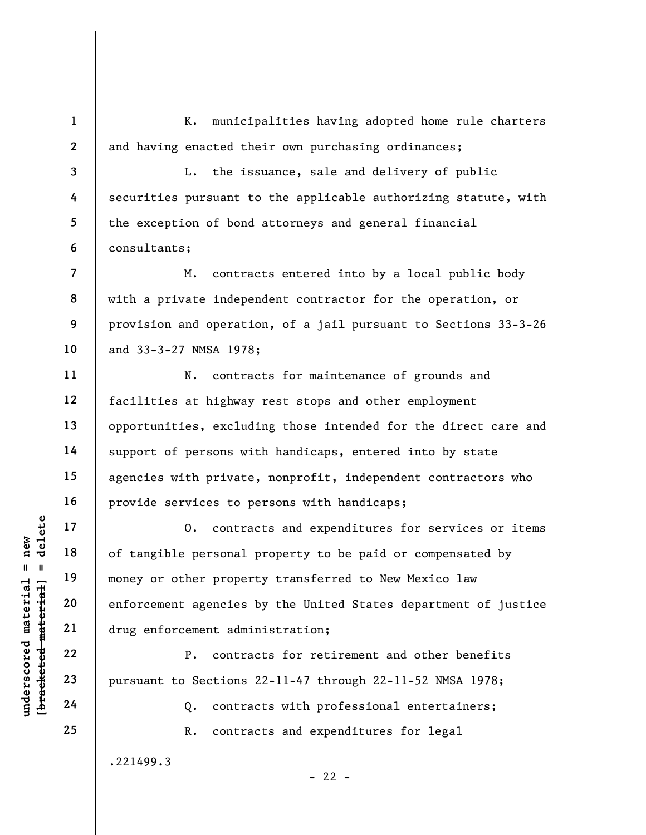1 2 K. municipalities having adopted home rule charters and having enacted their own purchasing ordinances;

3 4 5 6 L. the issuance, sale and delivery of public securities pursuant to the applicable authorizing statute, with the exception of bond attorneys and general financial consultants;

M. contracts entered into by a local public body with a private independent contractor for the operation, or provision and operation, of a jail pursuant to Sections 33-3-26 and 33-3-27 NMSA 1978;

N. contracts for maintenance of grounds and facilities at highway rest stops and other employment opportunities, excluding those intended for the direct care and support of persons with handicaps, entered into by state agencies with private, nonprofit, independent contractors who provide services to persons with handicaps;

underscored material = new [bracketed material] = delete O. contracts and expenditures for services or items of tangible personal property to be paid or compensated by money or other property transferred to New Mexico law enforcement agencies by the United States department of justice drug enforcement administration;

P. contracts for retirement and other benefits pursuant to Sections 22-11-47 through 22-11-52 NMSA 1978;

Q. contracts with professional entertainers;

R. contracts and expenditures for legal

 $- 22 -$ 

.221499.3

7

8

9

10

11

12

13

14

15

16

17

18

19

20

21

22

23

24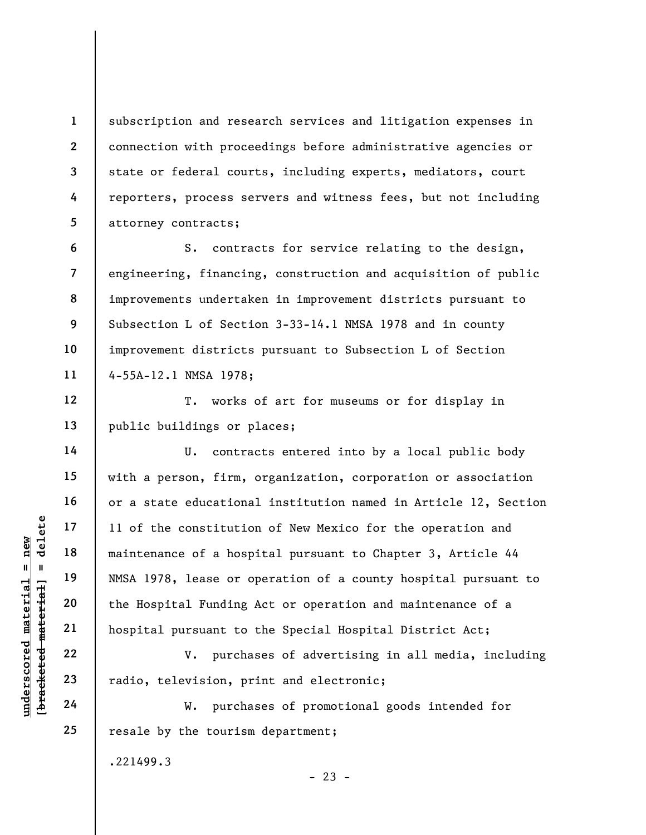subscription and research services and litigation expenses in connection with proceedings before administrative agencies or state or federal courts, including experts, mediators, court reporters, process servers and witness fees, but not including attorney contracts;

6 7 8 9 10 11 S. contracts for service relating to the design, engineering, financing, construction and acquisition of public improvements undertaken in improvement districts pursuant to Subsection L of Section 3-33-14.1 NMSA 1978 and in county improvement districts pursuant to Subsection L of Section 4-55A-12.1 NMSA 1978;

12 T. works of art for museums or for display in public buildings or places;

underscored material = new [bracketed material] = delete U. contracts entered into by a local public body with a person, firm, organization, corporation or association or a state educational institution named in Article 12, Section 11 of the constitution of New Mexico for the operation and maintenance of a hospital pursuant to Chapter 3, Article 44 NMSA 1978, lease or operation of a county hospital pursuant to the Hospital Funding Act or operation and maintenance of a hospital pursuant to the Special Hospital District Act;

V. purchases of advertising in all media, including radio, television, print and electronic;

W. purchases of promotional goods intended for resale by the tourism department;

.221499.3

 $- 23 -$ 

1

2

3

4

5

13

14

15

16

17

18

19

20

21

22

23

24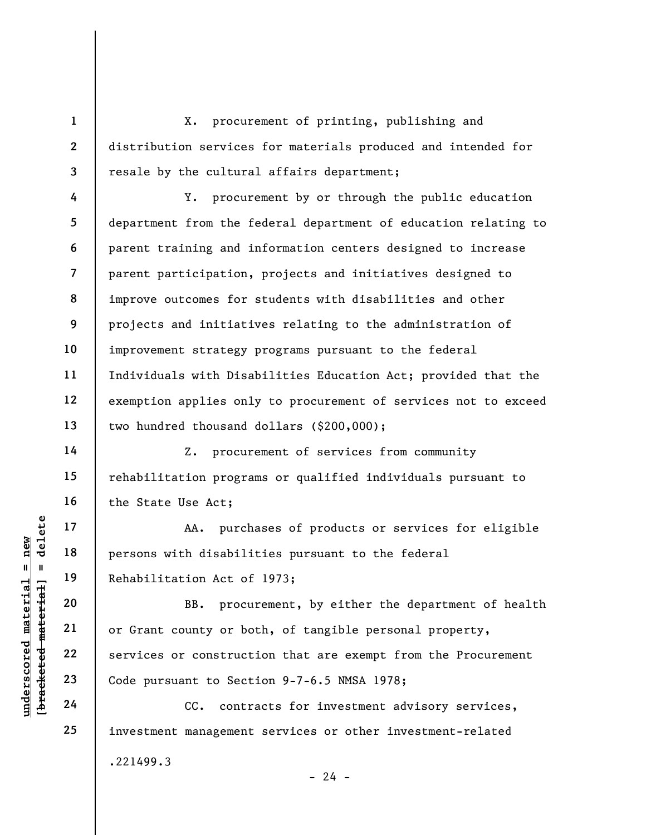X. procurement of printing, publishing and distribution services for materials produced and intended for resale by the cultural affairs department;

Y. procurement by or through the public education department from the federal department of education relating to parent training and information centers designed to increase parent participation, projects and initiatives designed to improve outcomes for students with disabilities and other projects and initiatives relating to the administration of improvement strategy programs pursuant to the federal Individuals with Disabilities Education Act; provided that the exemption applies only to procurement of services not to exceed two hundred thousand dollars (\$200,000);

Z. procurement of services from community rehabilitation programs or qualified individuals pursuant to the State Use Act;

AA. purchases of products or services for eligible persons with disabilities pursuant to the federal Rehabilitation Act of 1973;

underscored material = new [bracketed material] = delete BB. procurement, by either the department of health or Grant county or both, of tangible personal property, services or construction that are exempt from the Procurement Code pursuant to Section 9-7-6.5 NMSA 1978;

CC. contracts for investment advisory services, investment management services or other investment-related .221499.3  $- 24 -$ 

1

2

3

4

5

6

7

8

9

10

11

12

13

14

15

16

17

18

19

20

21

22

23

24